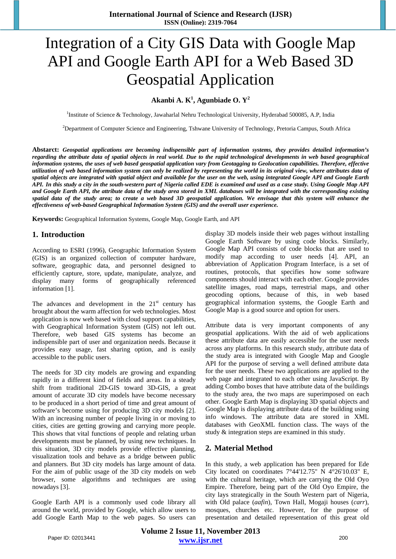# Integration of a City GIS Data with Google Map API and Google Earth API for a Web Based 3D Geospatial Application

**Akanbi A. K1 , Agunbiade O. Y2**

<sup>1</sup>Institute of Science & Technology, Jawaharlal Nehru Technological University, Hyderabad 500085, A.P, India

2 Department of Computer Science and Engineering, Tshwane University of Technology, Pretoria Campus, South Africa

**Abstarct:** *Geospatial applications are becoming indispensible part of information systems, they provides detailed information's regarding the attribute data of spatial objects in real world. Due to the rapid technological developments in web based geographical information systems, the uses of web based geospatial application vary from Geotagging to Geolocation capabilities. Therefore, effective utilization of web based information system can only be realized by representing the world in its original view, where attributes data of spatial objects are integrated with spatial object and available for the user on the web, using integrated Google API and Google Earth API. In this study a city in the south-western part of Nigeria called EDE is examined and used as a case study. Using Google Map API and Google Earth API, the attribute data of the study area stored in XML databases will be integrated with the corresponding existing spatial data of the study area; to create a web based 3D geospatial application. We envisage that this system will enhance the effectiveness of web-based Geographical Information System (GIS) and the overall user experience.*

**Keywords:** Geographical Information Systems, Google Map, Google Earth, and API

## **1. Introduction**

According to ESRI (1996), Geographic Information System (GIS) is an organized collection of computer hardware, software, geographic data, and personnel designed to efficiently capture, store, update, manipulate, analyze, and display many forms of geographically referenced information [1].

The advances and development in the  $21<sup>st</sup>$  century has brought about the warm affection for web technologies. Most application is now web based with cloud support capabilities, with Geographical Information System (GIS) not left out. Therefore, web based GIS systems has become an indispensible part of user and organization needs. Because it provides easy usage, fast sharing option, and is easily accessible to the public users.

The needs for 3D city models are growing and expanding rapidly in a different kind of fields and areas. In a steady shift from traditional 2D-GIS toward 3D-GIS, a great amount of accurate 3D city models have become necessary to be produced in a short period of time and great amount of software's become using for producing 3D city models [2]. With an increasing number of people living in or moving to cities, cities are getting growing and carrying more people. This shows that vital functions of people and relating urban developments must be planned, by using new techniques. In this situation, 3D city models provide effective planning, visualization tools and behave as a bridge between public and planners. But 3D city models has large amount of data. For the aim of public usage of the 3D city models on web browser, some algorithms and techniques are using nowadays [3].

Google Earth API is a commonly used code library all around the world, provided by Google, which allow users to add Google Earth Map to the web pages. So users can display 3D models inside their web pages without installing Google Earth Software by using code blocks. Similarly, Google Map API consists of code blocks that are used to modify map according to user needs [4]. API, an abbreviation of Application Program Interface, is a set of routines, protocols, that specifies how some software components should interact with each other. Google provides satellite images, road maps, terrestrial maps, and other geocoding options, because of this, in web based geographical information systems, the Google Earth and Google Map is a good source and option for users.

Attribute data is very important components of any geospatial applications. With the aid of web applications these attribute data are easily accessible for the user needs across any platforms. In this research study, attribute data of the study area is integrated with Google Map and Google API for the purpose of serving a well defined attribute data for the user needs. These two applications are applied to the web page and integrated to each other using JavaScript. By adding Combo boxes that have attribute data of the buildings to the study area, the two maps are superimposed on each other. Google Earth Map is displaying 3D spatial objects and Google Map is displaying attribute data of the building using info windows. The attribute data are stored in XML databases with GeoXML function class. The ways of the study & integration steps are examined in this study.

# **2. Material Method**

In this study, a web application has been prepared for Ede City located on coordinates 7°44'12.75" N 4°26'10.03" E, with the cultural heritage, which are carrying the Old Oyo Empire. Therefore, being part of the Old Oyo Empire, the city lays strategically in the South Western part of Nigeria, with Old palace (*aafin*), Town Hall, Mogaji houses (*carr*), mosques, churches etc. However, for the purpose of presentation and detailed representation of this great old

**Volume 2 Issue 11, November 2013 www.ijsr.net** Paper ID: 02013441 200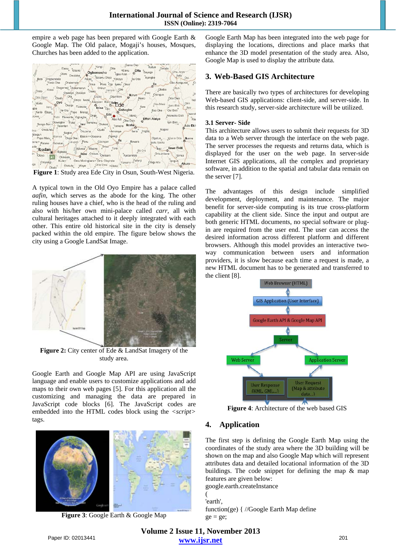empire a web page has been prepared with Google Earth & Google Map. The Old palace, Mogaji's houses, Mosques, Churches has been added to the application.



**Figure 1**: Study area Ede City in Osun, South-West Nigeria.

A typical town in the Old Oyo Empire has a palace called *aafin*, which serves as the abode for the king. The other ruling houses have a chief, who is the head of the ruling and also with his/her own mini-palace called *carr,* all with cultural heritages attached to it deeply integrated with each other. This entire old historical site in the city is densely packed within the old empire. The figure below shows the city using a Google LandSat Image.



**Figure 2:** City center of Ede & LandSat Imagery of the study area.

Google Earth and Google Map API are using JavaScript language and enable users to customize applications and add maps to their own web pages [5]. For this application all the customizing and managing the data are prepared in JavaScript code blocks [6]. The JavaScript codes are embedded into the HTML codes block using the *<script>* tags.



**Figure 3**: Google Earth & Google Map

Google Earth Map has been integrated into the web page for displaying the locations, directions and place marks that enhance the 3D model presentation of the study area. Also, Google Map is used to display the attribute data.

# **3. Web-Based GIS Architecture**

There are basically two types of architectures for developing Web-based GIS applications: client-side, and server-side. In this research study, server-side architecture will be utilized.

### **3.1 Server- Side**

This architecture allows users to submit their requests for 3D data to a Web server through the interface on the web page. The server processes the requests and returns data, which is displayed for the user on the web page. In server-side Internet GIS applications, all the complex and proprietary software, in addition to the spatial and tabular data remain on the server [7].

The advantages of this design include simplified development, deployment, and maintenance. The major benefit for server-side computing is its true cross-platform capability at the client side. Since the input and output are both generic HTML documents, no special software or plugin are required from the user end. The user can access the desired information across different platform and different browsers. Although this model provides an interactive twoway communication between users and information providers, it is slow because each time a request is made, a new HTML document has to be generated and transferred to the client [8].



**Figure 4**: Architecture of the web based GIS

# **4. Application**

The first step is defining the Google Earth Map using the coordinates of the study area where the 3D building will be shown on the map and also Google Map which will represent attributes data and detailed locational information of the 3D buildings. The code snippet for defining the map & map features are given below: google.earth.createInstance

( 'earth' function(ge) { //Google Earth Map define  $ge = ge;$ 

**Volume 2 Issue 11, November 2013 www.ijsr.net** Paper ID: 02013441 201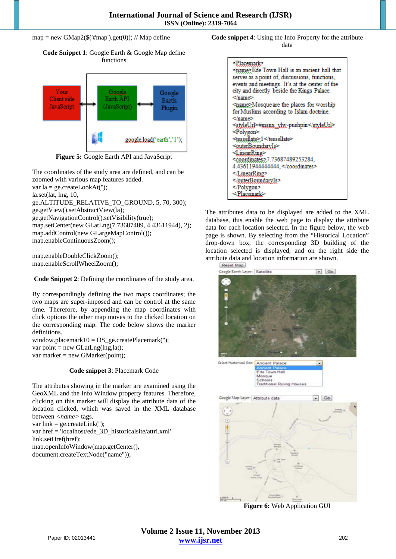#### map = new GMap2( $\$(\#map')\$ get $(0)$ ); // Map define

**Code Snippet 1**: Google Earth & Google Map define functions



**Figure 5:** Google Earth API and JavaScript

The coordinates of the study area are defined, and can be zoomed with various map features added.

var la = ge.createLookAt('');

la.set(lat, lng, 10,

ge.ALTITUDE\_RELATIVE\_TO\_GROUND, 5, 70, 300);

ge.getView().setAbstractView(la);

ge.getNavigationControl().setVisibility(true);

map.setCenter(new GLatLng(7.73687489, 4.43611944), 2); map.addControl(new GLargeMapControl()); map.enableContinuousZoom();

map.enableDoubleClickZoom(); map.enableScrollWheelZoom();

**Code Snippet 2**: Defining the coordinates of the study area.

By correspondingly defining the two maps coordinates; the two maps are super-imposed and can be control at the same time. Therefore, by appending the map coordinates with click options the other map moves to the clicked location on the corresponding map. The code below shows the marker definitions.

window.placemark10 = DS ge.createPlacemark("); var point = new GLatLng(lng,lat); var marker = new GMarker(point);

#### **Code snippet 3**: Placemark Code

The attributes showing in the marker are examined using the GeoXML and the Info Window property features. Therefore, clicking on this marker will display the attribute data of the location clicked, which was saved in the XML database between *<name>* tags. var link = ge.createLink(");

var href = 'localhost/ede\_3D\_historicalsite/attri.xml'

link.setHref(href);

map.openInfoWindow(map.getCenter(),

document.createTextNode("name"));

**Code snippet 4**: Using the Info Property for the attribute data

| <placemark><br/><name>Ede Town Hall is an ancient hall that<br/>serves as a point of, discussions, functions,<br/>events and meetings. It's at the center of the<br/>city and directly beside the Kings Palace.<br/></name></placemark> |
|-----------------------------------------------------------------------------------------------------------------------------------------------------------------------------------------------------------------------------------------|
| <name>Mosque are the places for worship</name>                                                                                                                                                                                          |
|                                                                                                                                                                                                                                         |
| for Muslims according to Islam doctrine.                                                                                                                                                                                                |
|                                                                                                                                                                                                                                         |
| <styleurl>#msnx_ylw-pushpin</styleurl>                                                                                                                                                                                                  |
| <polygon></polygon>                                                                                                                                                                                                                     |
| <tessellate>&gt;1</tessellate>                                                                                                                                                                                                          |
| <outerboundaryis></outerboundaryis>                                                                                                                                                                                                     |
| <linearring></linearring>                                                                                                                                                                                                               |
| <coordinates>7.73687489253284,</coordinates>                                                                                                                                                                                            |
| 4.436119444444444,                                                                                                                                                                                                                      |
|                                                                                                                                                                                                                                         |
| $\le$ /guterBoundaryIs>                                                                                                                                                                                                                 |
|                                                                                                                                                                                                                                         |
|                                                                                                                                                                                                                                         |
|                                                                                                                                                                                                                                         |

The attributes data to be displayed are added to the XML database, this enable the web page to display the attribute data for each location selected. In the figure below, the web page is shown. By selecting from the "Historical Location" drop-down box, the corresponding 3D building of the location selected is displayed, and on the right side the attribute data and location information are shown.



**Figure 6:** Web Application GUI